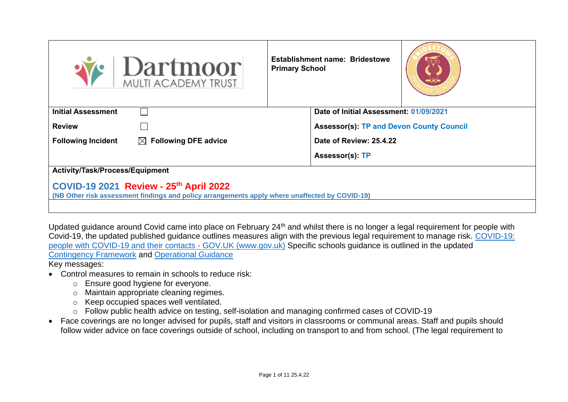| $\big \operatornamewithlimits{Dartmoor}_{\text{\tiny{MULTI}\n}}$                                                                         | <b>Primary School</b> | <b>Establishment name: Bridestowe</b>           |  |  |  |  |  |  |
|------------------------------------------------------------------------------------------------------------------------------------------|-----------------------|-------------------------------------------------|--|--|--|--|--|--|
| <b>Initial Assessment</b>                                                                                                                |                       | Date of Initial Assessment: 01/09/2021          |  |  |  |  |  |  |
| <b>Review</b>                                                                                                                            |                       | <b>Assessor(s): TP and Devon County Council</b> |  |  |  |  |  |  |
| <b>Following Incident</b><br>$\boxtimes$ Following DFE advice                                                                            |                       | Date of Review: 25.4.22                         |  |  |  |  |  |  |
|                                                                                                                                          |                       | Assessor(s): TP                                 |  |  |  |  |  |  |
| Activity/Task/Process/Equipment                                                                                                          |                       |                                                 |  |  |  |  |  |  |
| COVID-19 2021 Review - 25th April 2022<br>(NB Other risk assessment findings and policy arrangements apply where unaffected by COVID-19) |                       |                                                 |  |  |  |  |  |  |

Updated guidance around Covid came into place on February 24<sup>th</sup> and whilst there is no longer a legal requirement for people with Covid-19, the updated published guidance outlines measures align with the previous legal requirement to manage risk. [COVID-19:](https://www.gov.uk/government/publications/covid-19-people-with-covid-19-and-their-contacts/covid-19-people-with-covid-19-and-their-contacts)  [people with COVID-19 and their contacts -](https://www.gov.uk/government/publications/covid-19-people-with-covid-19-and-their-contacts/covid-19-people-with-covid-19-and-their-contacts) GOV.UK (www.gov.uk) Specific schools guidance is outlined in the updated [Contingency Framework](https://assets.publishing.service.gov.uk/government/uploads/system/uploads/attachment_data/file/1057141/Contingency_framework_education_and_childcare_settings_February_2022.pdf) and [Operational Guidance](https://www.gov.uk/government/publications/actions-for-schools-during-the-coronavirus-outbreak) Key messages:

- Control measures to remain in schools to reduce risk:
	- o Ensure good hygiene for everyone.
	- o Maintain appropriate cleaning regimes.
	- o Keep occupied spaces well ventilated.
	- o Follow public health advice on testing, self-isolation and managing confirmed cases of COVID-19
- Face coverings are no longer advised for pupils, staff and visitors in classrooms or communal areas. Staff and pupils should follow wider advice on face coverings outside of school, including on transport to and from school. (The legal requirement to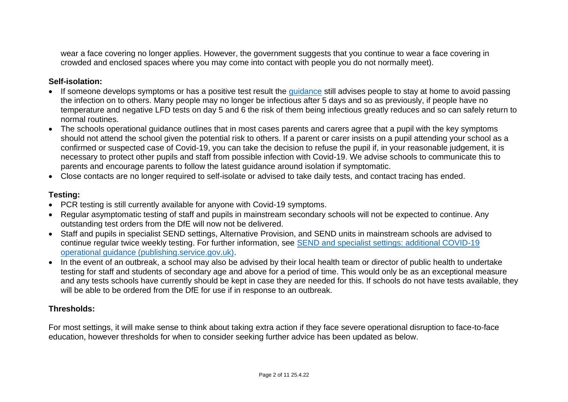wear a face covering no longer applies. However, the government suggests that you continue to wear a face covering in crowded and enclosed spaces where you may come into contact with people you do not normally meet).

## **Self-isolation:**

- If someone develops symptoms or has a positive test result the quidance still advises people to stay at home to avoid passing the infection on to others. Many people may no longer be infectious after 5 days and so as previously, if people have no temperature and negative LFD tests on day 5 and 6 the risk of them being infectious greatly reduces and so can safely return to normal routines.
- The schools operational guidance outlines that in most cases parents and carers agree that a pupil with the key symptoms should not attend the school given the potential risk to others. If a parent or carer insists on a pupil attending your school as a confirmed or suspected case of Covid-19, you can take the decision to refuse the pupil if, in your reasonable judgement, it is necessary to protect other pupils and staff from possible infection with Covid-19. We advise schools to communicate this to parents and encourage parents to follow the latest guidance around isolation if symptomatic.
- Close contacts are no longer required to self-isolate or advised to take daily tests, and contact tracing has ended.

# **Testing:**

- PCR testing is still currently available for anyone with Covid-19 symptoms.
- Regular asymptomatic testing of staff and pupils in mainstream secondary schools will not be expected to continue. Any outstanding test orders from the DfE will now not be delivered.
- Staff and pupils in specialist SEND settings, Alternative Provision, and SEND units in mainstream schools are advised to continue regular twice weekly testing. For further information, see [SEND and specialist settings: additional COVID-19](https://assets.publishing.service.gov.uk/government/uploads/system/uploads/attachment_data/file/1057037/20220223_SEND_guidance.pdf)  [operational guidance \(publishing.service.gov.uk\).](https://assets.publishing.service.gov.uk/government/uploads/system/uploads/attachment_data/file/1057037/20220223_SEND_guidance.pdf)
- In the event of an outbreak, a school may also be advised by their local health team or director of public health to undertake testing for staff and students of secondary age and above for a period of time. This would only be as an exceptional measure and any tests schools have currently should be kept in case they are needed for this. If schools do not have tests available, they will be able to be ordered from the DfE for use if in response to an outbreak.

# **Thresholds:**

For most settings, it will make sense to think about taking extra action if they face severe operational disruption to face-to-face education, however thresholds for when to consider seeking further advice has been updated as below.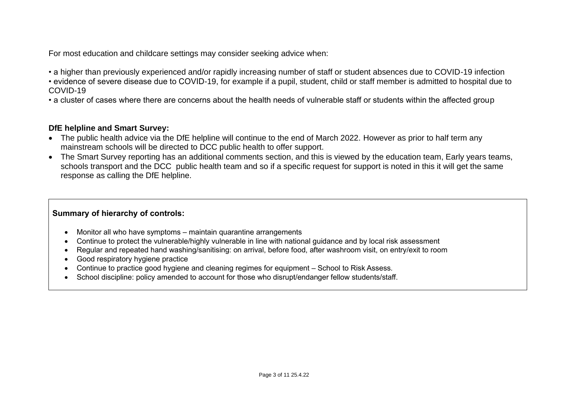For most education and childcare settings may consider seeking advice when:

• a higher than previously experienced and/or rapidly increasing number of staff or student absences due to COVID-19 infection

• evidence of severe disease due to COVID-19, for example if a pupil, student, child or staff member is admitted to hospital due to COVID-19

• a cluster of cases where there are concerns about the health needs of vulnerable staff or students within the affected group

#### **DfE helpline and Smart Survey:**

- The public health advice via the DfE helpline will continue to the end of March 2022. However as prior to half term any mainstream schools will be directed to DCC public health to offer support.
- The Smart Survey reporting has an additional comments section, and this is viewed by the education team, Early years teams, schools transport and the DCC public health team and so if a specific request for support is noted in this it will get the same response as calling the DfE helpline.

## **Summary of hierarchy of controls:**

- Monitor all who have symptoms maintain quarantine arrangements
- Continue to protect the vulnerable/highly vulnerable in line with national guidance and by local risk assessment
- Regular and repeated hand washing/sanitising: on arrival, before food, after washroom visit, on entry/exit to room
- Good respiratory hygiene practice
- Continue to practice good hygiene and cleaning regimes for equipment School to Risk Assess.
- School discipline: policy amended to account for those who disrupt/endanger fellow students/staff.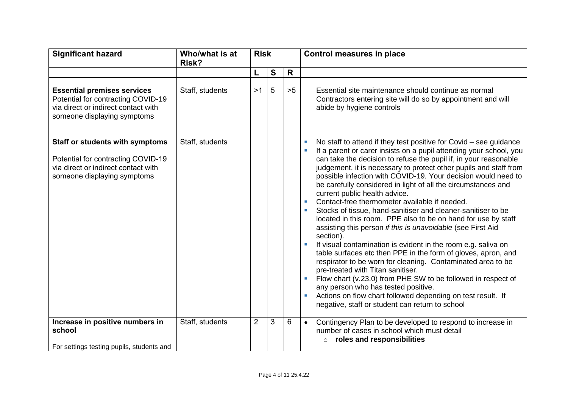| <b>Significant hazard</b>                                                                                                                          | Who/what is at<br>Risk? | <b>Risk</b>    |   |    |                                                                                                                                                                                                                                                                                                                                                                                                                                                                                                                                                                                                                                                                                                                                                                                                                                                                                                                                                                                                                                                                                                                                                                                    |  | Control measures in place |
|----------------------------------------------------------------------------------------------------------------------------------------------------|-------------------------|----------------|---|----|------------------------------------------------------------------------------------------------------------------------------------------------------------------------------------------------------------------------------------------------------------------------------------------------------------------------------------------------------------------------------------------------------------------------------------------------------------------------------------------------------------------------------------------------------------------------------------------------------------------------------------------------------------------------------------------------------------------------------------------------------------------------------------------------------------------------------------------------------------------------------------------------------------------------------------------------------------------------------------------------------------------------------------------------------------------------------------------------------------------------------------------------------------------------------------|--|---------------------------|
|                                                                                                                                                    |                         | L              | S | R  |                                                                                                                                                                                                                                                                                                                                                                                                                                                                                                                                                                                                                                                                                                                                                                                                                                                                                                                                                                                                                                                                                                                                                                                    |  |                           |
| <b>Essential premises services</b><br>Potential for contracting COVID-19<br>via direct or indirect contact with<br>someone displaying symptoms     | Staff, students         | >1             | 5 | >5 | Essential site maintenance should continue as normal<br>Contractors entering site will do so by appointment and will<br>abide by hygiene controls                                                                                                                                                                                                                                                                                                                                                                                                                                                                                                                                                                                                                                                                                                                                                                                                                                                                                                                                                                                                                                  |  |                           |
| <b>Staff or students with symptoms</b><br>Potential for contracting COVID-19<br>via direct or indirect contact with<br>someone displaying symptoms | Staff, students         |                |   |    | No staff to attend if they test positive for Covid $-$ see guidance<br>If a parent or carer insists on a pupil attending your school, you<br>can take the decision to refuse the pupil if, in your reasonable<br>judgement, it is necessary to protect other pupils and staff from<br>possible infection with COVID-19. Your decision would need to<br>be carefully considered in light of all the circumstances and<br>current public health advice.<br>Contact-free thermometer available if needed.<br>Stocks of tissue, hand-sanitiser and cleaner-sanitiser to be<br>located in this room. PPE also to be on hand for use by staff<br>assisting this person if this is unavoidable (see First Aid<br>section).<br>If visual contamination is evident in the room e.g. saliva on<br>table surfaces etc then PPE in the form of gloves, apron, and<br>respirator to be worn for cleaning. Contaminated area to be<br>pre-treated with Titan sanitiser.<br>Flow chart (v.23.0) from PHE SW to be followed in respect of<br>any person who has tested positive.<br>Actions on flow chart followed depending on test result. If<br>negative, staff or student can return to school |  |                           |
| Increase in positive numbers in<br>school<br>For settings testing pupils, students and                                                             | Staff, students         | $\overline{2}$ | 3 | 6  | Contingency Plan to be developed to respond to increase in<br>$\bullet$<br>number of cases in school which must detail<br>roles and responsibilities<br>$\circ$                                                                                                                                                                                                                                                                                                                                                                                                                                                                                                                                                                                                                                                                                                                                                                                                                                                                                                                                                                                                                    |  |                           |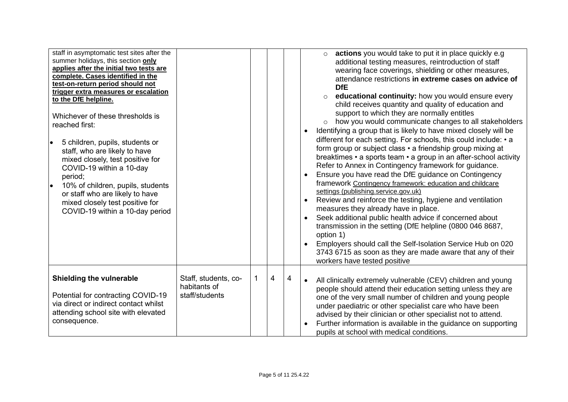| staff in asymptomatic test sites after the<br>summer holidays, this section only<br>applies after the initial two tests are<br>complete. Cases identified in the<br>test-on-return period should not<br>trigger extra measures or escalation<br>to the DfE helpline.<br>Whichever of these thresholds is<br>reached first:<br>5 children, pupils, students or<br>$\bullet$<br>staff, who are likely to have<br>mixed closely, test positive for<br>COVID-19 within a 10-day<br>period;<br>10% of children, pupils, students<br>$\bullet$<br>or staff who are likely to have<br>mixed closely test positive for<br>COVID-19 within a 10-day period |                                                        |   |   |   | actions you would take to put it in place quickly e.g<br>$\circ$<br>additional testing measures, reintroduction of staff<br>wearing face coverings, shielding or other measures,<br>attendance restrictions in extreme cases on advice of<br><b>DfE</b><br>educational continuity: how you would ensure every<br>child receives quantity and quality of education and<br>support to which they are normally entitles<br>how you would communicate changes to all stakeholders<br>Identifying a group that is likely to have mixed closely will be<br>different for each setting. For schools, this could include: • a<br>form group or subject class • a friendship group mixing at<br>breaktimes • a sports team • a group in an after-school activity<br>Refer to Annex in Contingency framework for guidance.<br>Ensure you have read the DfE guidance on Contingency<br>framework Contingency framework: education and childcare<br>settings (publishing.service.gov.uk)<br>Review and reinforce the testing, hygiene and ventilation<br>measures they already have in place.<br>Seek additional public health advice if concerned about<br>transmission in the setting (DfE helpline (0800 046 8687,<br>option 1)<br>Employers should call the Self-Isolation Service Hub on 020<br>3743 6715 as soon as they are made aware that any of their<br>workers have tested positive |
|---------------------------------------------------------------------------------------------------------------------------------------------------------------------------------------------------------------------------------------------------------------------------------------------------------------------------------------------------------------------------------------------------------------------------------------------------------------------------------------------------------------------------------------------------------------------------------------------------------------------------------------------------|--------------------------------------------------------|---|---|---|-------------------------------------------------------------------------------------------------------------------------------------------------------------------------------------------------------------------------------------------------------------------------------------------------------------------------------------------------------------------------------------------------------------------------------------------------------------------------------------------------------------------------------------------------------------------------------------------------------------------------------------------------------------------------------------------------------------------------------------------------------------------------------------------------------------------------------------------------------------------------------------------------------------------------------------------------------------------------------------------------------------------------------------------------------------------------------------------------------------------------------------------------------------------------------------------------------------------------------------------------------------------------------------------------------------------------------------------------------------------------------------|
| Shielding the vulnerable<br>Potential for contracting COVID-19<br>via direct or indirect contact whilst<br>attending school site with elevated<br>consequence.                                                                                                                                                                                                                                                                                                                                                                                                                                                                                    | Staff, students, co-<br>habitants of<br>staff/students | 1 | 4 | 4 | All clinically extremely vulnerable (CEV) children and young<br>people should attend their education setting unless they are<br>one of the very small number of children and young people<br>under paediatric or other specialist care who have been<br>advised by their clinician or other specialist not to attend.<br>Further information is available in the guidance on supporting<br>pupils at school with medical conditions.                                                                                                                                                                                                                                                                                                                                                                                                                                                                                                                                                                                                                                                                                                                                                                                                                                                                                                                                                |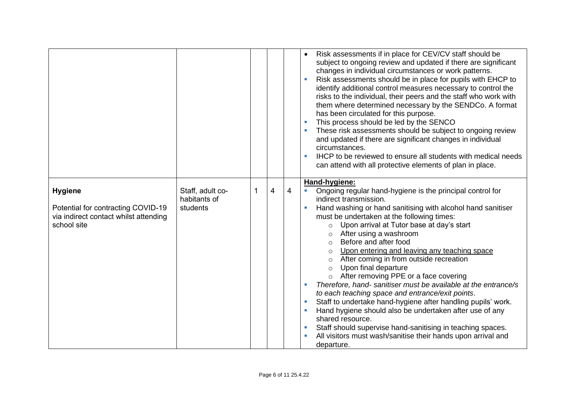|                                                                                                              |                                              |   |   |   | Risk assessments if in place for CEV/CV staff should be<br>$\bullet$<br>subject to ongoing review and updated if there are significant<br>changes in individual circumstances or work patterns.<br>Risk assessments should be in place for pupils with EHCP to<br>identify additional control measures necessary to control the<br>risks to the individual, their peers and the staff who work with<br>them where determined necessary by the SENDCo. A format<br>has been circulated for this purpose.<br>This process should be led by the SENCO<br>These risk assessments should be subject to ongoing review<br>and updated if there are significant changes in individual<br>circumstances.<br>IHCP to be reviewed to ensure all students with medical needs<br>$\overline{\phantom{a}}$<br>can attend with all protective elements of plan in place.                                                                                                             |
|--------------------------------------------------------------------------------------------------------------|----------------------------------------------|---|---|---|------------------------------------------------------------------------------------------------------------------------------------------------------------------------------------------------------------------------------------------------------------------------------------------------------------------------------------------------------------------------------------------------------------------------------------------------------------------------------------------------------------------------------------------------------------------------------------------------------------------------------------------------------------------------------------------------------------------------------------------------------------------------------------------------------------------------------------------------------------------------------------------------------------------------------------------------------------------------|
| <b>Hygiene</b><br>Potential for contracting COVID-19<br>via indirect contact whilst attending<br>school site | Staff, adult co-<br>habitants of<br>students | 1 | 4 | 4 | Hand-hygiene:<br>Ongoing regular hand-hygiene is the principal control for<br>$\blacksquare$<br>indirect transmission.<br>Hand washing or hand sanitising with alcohol hand sanitiser<br>$\overline{\phantom{a}}$<br>must be undertaken at the following times:<br>o Upon arrival at Tutor base at day's start<br>After using a washroom<br>Before and after food<br>$\circ$<br>Upon entering and leaving any teaching space<br>After coming in from outside recreation<br>Upon final departure<br>$\circ$<br>o After removing PPE or a face covering<br>Therefore, hand- sanitiser must be available at the entrance/s<br>to each teaching space and entrance/exit points.<br>Staff to undertake hand-hygiene after handling pupils' work.<br>Hand hygiene should also be undertaken after use of any<br>shared resource.<br>Staff should supervise hand-sanitising in teaching spaces.<br>All visitors must wash/sanitise their hands upon arrival and<br>departure. |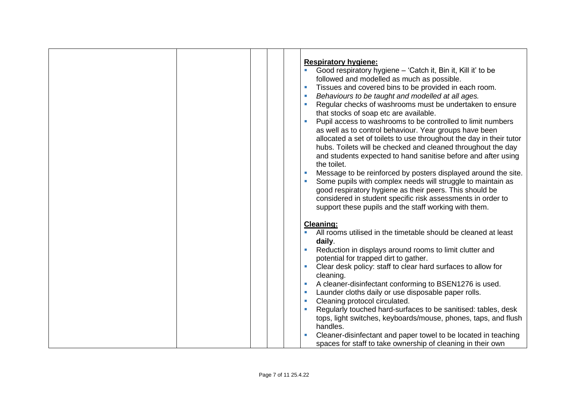|  | <b>Respiratory hygiene:</b><br>Good respiratory hygiene - 'Catch it, Bin it, Kill it' to be<br>followed and modelled as much as possible.<br>Tissues and covered bins to be provided in each room.<br>Behaviours to be taught and modelled at all ages.<br>T.<br>Regular checks of washrooms must be undertaken to ensure<br>that stocks of soap etc are available.<br>Pupil access to washrooms to be controlled to limit numbers<br>$\mathcal{C}$<br>as well as to control behaviour. Year groups have been<br>allocated a set of toilets to use throughout the day in their tutor<br>hubs. Toilets will be checked and cleaned throughout the day<br>and students expected to hand sanitise before and after using<br>the toilet.<br>Message to be reinforced by posters displayed around the site.<br>$\overline{\phantom{a}}$<br>Some pupils with complex needs will struggle to maintain as<br>good respiratory hygiene as their peers. This should be<br>considered in student specific risk assessments in order to<br>support these pupils and the staff working with them. |
|--|--------------------------------------------------------------------------------------------------------------------------------------------------------------------------------------------------------------------------------------------------------------------------------------------------------------------------------------------------------------------------------------------------------------------------------------------------------------------------------------------------------------------------------------------------------------------------------------------------------------------------------------------------------------------------------------------------------------------------------------------------------------------------------------------------------------------------------------------------------------------------------------------------------------------------------------------------------------------------------------------------------------------------------------------------------------------------------------|
|  | <b>Cleaning:</b><br>All rooms utilised in the timetable should be cleaned at least<br>daily.<br>Reduction in displays around rooms to limit clutter and<br>potential for trapped dirt to gather.<br>Clear desk policy: staff to clear hard surfaces to allow for<br>cleaning.<br>A cleaner-disinfectant conforming to BSEN1276 is used.<br>Launder cloths daily or use disposable paper rolls.<br>W.<br>Cleaning protocol circulated.<br>Regularly touched hard-surfaces to be sanitised: tables, desk<br>tops, light switches, keyboards/mouse, phones, taps, and flush<br>handles.<br>Cleaner-disinfectant and paper towel to be located in teaching<br>spaces for staff to take ownership of cleaning in their own                                                                                                                                                                                                                                                                                                                                                                |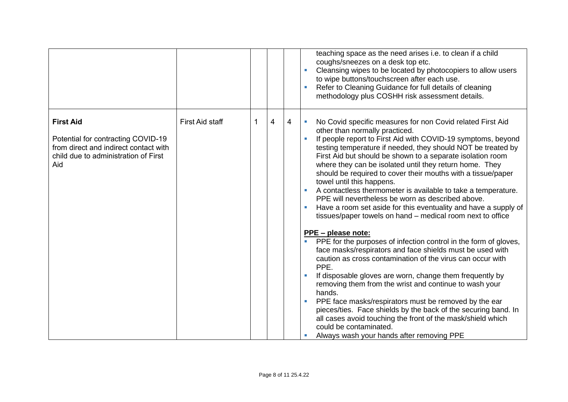|                                                                                                                                                |                        |   |   |   | teaching space as the need arises i.e. to clean if a child<br>coughs/sneezes on a desk top etc.<br>Cleansing wipes to be located by photocopiers to allow users<br>to wipe buttons/touchscreen after each use.<br>Refer to Cleaning Guidance for full details of cleaning<br>methodology plus COSHH risk assessment details.                                                                                                                                                                                                                                                                                                                                                                                                                                                                                                                                                                                                                                                                                                                                                                                                                                                                                                                                                                                                                                                                       |
|------------------------------------------------------------------------------------------------------------------------------------------------|------------------------|---|---|---|----------------------------------------------------------------------------------------------------------------------------------------------------------------------------------------------------------------------------------------------------------------------------------------------------------------------------------------------------------------------------------------------------------------------------------------------------------------------------------------------------------------------------------------------------------------------------------------------------------------------------------------------------------------------------------------------------------------------------------------------------------------------------------------------------------------------------------------------------------------------------------------------------------------------------------------------------------------------------------------------------------------------------------------------------------------------------------------------------------------------------------------------------------------------------------------------------------------------------------------------------------------------------------------------------------------------------------------------------------------------------------------------------|
| <b>First Aid</b><br>Potential for contracting COVID-19<br>from direct and indirect contact with<br>child due to administration of First<br>Aid | <b>First Aid staff</b> | 1 | 4 | 4 | No Covid specific measures for non Covid related First Aid<br>other than normally practiced.<br>If people report to First Aid with COVID-19 symptoms, beyond<br>testing temperature if needed, they should NOT be treated by<br>First Aid but should be shown to a separate isolation room<br>where they can be isolated until they return home. They<br>should be required to cover their mouths with a tissue/paper<br>towel until this happens.<br>A contactless thermometer is available to take a temperature.<br>PPE will nevertheless be worn as described above.<br>Have a room set aside for this eventuality and have a supply of<br>tissues/paper towels on hand – medical room next to office<br>PPE - please note:<br>PPE for the purposes of infection control in the form of gloves,<br>$\mathcal{L}_{\mathcal{A}}$<br>face masks/respirators and face shields must be used with<br>caution as cross contamination of the virus can occur with<br>PPE.<br>If disposable gloves are worn, change them frequently by<br>removing them from the wrist and continue to wash your<br>hands.<br>PPE face masks/respirators must be removed by the ear<br>$\overline{\phantom{a}}$<br>pieces/ties. Face shields by the back of the securing band. In<br>all cases avoid touching the front of the mask/shield which<br>could be contaminated.<br>Always wash your hands after removing PPE |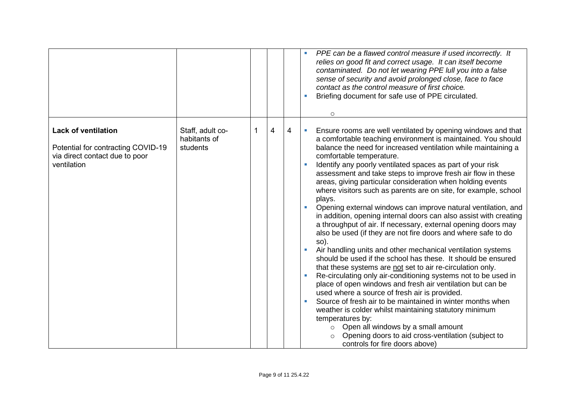|                                                                                                                   |                                              |   |                |   | PPE can be a flawed control measure if used incorrectly. It<br>relies on good fit and correct usage. It can itself become<br>contaminated. Do not let wearing PPE lull you into a false<br>sense of security and avoid prolonged close, face to face<br>contact as the control measure of first choice.<br>Briefing document for safe use of PPE circulated.<br>$\circ$                                                                                                                                                                                                                                                                                                                                                                                                                                                                                                                                                                                                                                                                                                                                                                                                                                                                                                                                                                                                                                                                                |
|-------------------------------------------------------------------------------------------------------------------|----------------------------------------------|---|----------------|---|--------------------------------------------------------------------------------------------------------------------------------------------------------------------------------------------------------------------------------------------------------------------------------------------------------------------------------------------------------------------------------------------------------------------------------------------------------------------------------------------------------------------------------------------------------------------------------------------------------------------------------------------------------------------------------------------------------------------------------------------------------------------------------------------------------------------------------------------------------------------------------------------------------------------------------------------------------------------------------------------------------------------------------------------------------------------------------------------------------------------------------------------------------------------------------------------------------------------------------------------------------------------------------------------------------------------------------------------------------------------------------------------------------------------------------------------------------|
| <b>Lack of ventilation</b><br>Potential for contracting COVID-19<br>via direct contact due to poor<br>ventilation | Staff, adult co-<br>habitants of<br>students | 1 | $\overline{4}$ | 4 | Ensure rooms are well ventilated by opening windows and that<br>a comfortable teaching environment is maintained. You should<br>balance the need for increased ventilation while maintaining a<br>comfortable temperature.<br>Identify any poorly ventilated spaces as part of your risk<br>assessment and take steps to improve fresh air flow in these<br>areas, giving particular consideration when holding events<br>where visitors such as parents are on site, for example, school<br>plays.<br>Opening external windows can improve natural ventilation, and<br>in addition, opening internal doors can also assist with creating<br>a throughput of air. If necessary, external opening doors may<br>also be used (if they are not fire doors and where safe to do<br>so).<br>Air handling units and other mechanical ventilation systems<br>should be used if the school has these. It should be ensured<br>that these systems are not set to air re-circulation only.<br>Re-circulating only air-conditioning systems not to be used in<br>place of open windows and fresh air ventilation but can be<br>used where a source of fresh air is provided.<br>Source of fresh air to be maintained in winter months when<br>weather is colder whilst maintaining statutory minimum<br>temperatures by:<br>Open all windows by a small amount<br>$\circ$<br>Opening doors to aid cross-ventilation (subject to<br>controls for fire doors above) |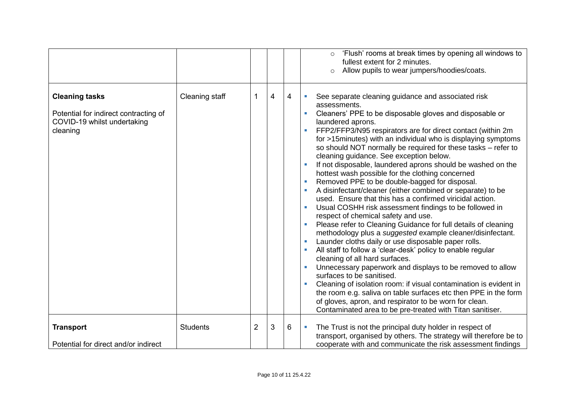|                                                                                                           |                 |                |                |   | 'Flush' rooms at break times by opening all windows to<br>fullest extent for 2 minutes.<br>Allow pupils to wear jumpers/hoodies/coats.<br>$\circ$                                                                                                                                                                                                                                                                                                                                                                                                                                                                                                                                                                                                                                                                                                                                                                                                                                                                                                                                                                                                                                                                                                                                                                                                                                                                                                          |
|-----------------------------------------------------------------------------------------------------------|-----------------|----------------|----------------|---|------------------------------------------------------------------------------------------------------------------------------------------------------------------------------------------------------------------------------------------------------------------------------------------------------------------------------------------------------------------------------------------------------------------------------------------------------------------------------------------------------------------------------------------------------------------------------------------------------------------------------------------------------------------------------------------------------------------------------------------------------------------------------------------------------------------------------------------------------------------------------------------------------------------------------------------------------------------------------------------------------------------------------------------------------------------------------------------------------------------------------------------------------------------------------------------------------------------------------------------------------------------------------------------------------------------------------------------------------------------------------------------------------------------------------------------------------------|
| <b>Cleaning tasks</b><br>Potential for indirect contracting of<br>COVID-19 whilst undertaking<br>cleaning | Cleaning staff  | 1              | $\overline{4}$ | 4 | See separate cleaning guidance and associated risk<br>assessments.<br>Cleaners' PPE to be disposable gloves and disposable or<br>laundered aprons.<br>FFP2/FFP3/N95 respirators are for direct contact (within 2m<br>for >15minutes) with an individual who is displaying symptoms<br>so should NOT normally be required for these tasks - refer to<br>cleaning guidance. See exception below.<br>If not disposable, laundered aprons should be washed on the<br>hottest wash possible for the clothing concerned<br>Removed PPE to be double-bagged for disposal.<br><b>I</b><br>A disinfectant/cleaner (either combined or separate) to be<br>used. Ensure that this has a confirmed viricidal action.<br>Usual COSHH risk assessment findings to be followed in<br>respect of chemical safety and use.<br>Please refer to Cleaning Guidance for full details of cleaning<br>methodology plus a suggested example cleaner/disinfectant.<br>Launder cloths daily or use disposable paper rolls.<br>All staff to follow a 'clear-desk' policy to enable regular<br>cleaning of all hard surfaces.<br>Unnecessary paperwork and displays to be removed to allow<br>surfaces to be sanitised.<br>Cleaning of isolation room: if visual contamination is evident in<br>the room e.g. saliva on table surfaces etc then PPE in the form<br>of gloves, apron, and respirator to be worn for clean.<br>Contaminated area to be pre-treated with Titan sanitiser. |
| <b>Transport</b><br>Potential for direct and/or indirect                                                  | <b>Students</b> | $\overline{2}$ | 3              | 6 | The Trust is not the principal duty holder in respect of<br>$\overline{\phantom{a}}$<br>transport, organised by others. The strategy will therefore be to<br>cooperate with and communicate the risk assessment findings                                                                                                                                                                                                                                                                                                                                                                                                                                                                                                                                                                                                                                                                                                                                                                                                                                                                                                                                                                                                                                                                                                                                                                                                                                   |